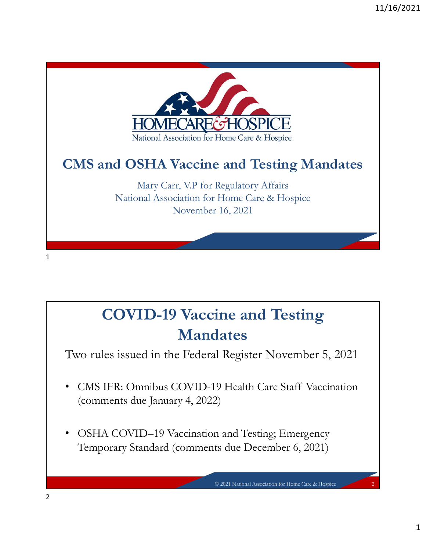

## COVID-19 Vaccine and Testing Mandates

Two rules issued in the Federal Register November 5, 2021

- (comments due January 4, 2022)
- OSHA COVID-19 Vaccination and Testing; Emergency Temporary Standard (comments due December 6, 2021)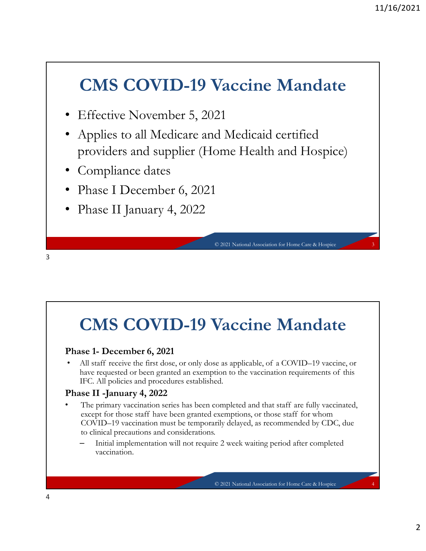#### CMS COVID-19 Vaccine Mandate

- Effective November 5, 2021
- Applies to all Medicare and Medicaid certified providers and supplier (Home Health and Hospice) Vaccine Mandate<br>
21<br>
d Medicaid certified<br>
2010 Health and Hospice<br>
3<br>
2021 National Association for Home Care & Hospice
- Compliance dates
- Phase I December 6, 2021
- Phase II January 4, 2022

3

#### CMS COVID-19 Vaccine Mandate

• Phase II January 4, 2022<br>• COVID–19 Vaccine Mandate<br>• COVID–19 vacantal station for line Cars & Hogis<br>• All staff receive the first dose, or only dose as applicable, of a COVID–19 vaccine, or<br>• All staff receive the firs IFC. All policies and procedures established.

#### Phase II -January 4, 2022

- **CONTID-19 Vaccine Manuary 4, 2022**<br> **CAUS COVID-19 Vaccine Manuary Concept Proper**<br> **CAUS COVID-19 Vaccine Manuary Concept Concept Concept**<br>
All staff receive the first dose, or only dose as applicable, of a COVID-19 vacc • COVID-19 Vaccine Mandate<br>
• These 1- December 6, 2021<br>
• All staff receive the first dose, or only dose as applicable, of a COVID-19 vaccine, or<br>
have requested or been granted an exemption to the vaccination requirement exact for those staff have coneciled to and the state of the state of the state of the state of the free technical conec reader of the free technical conecast of the fract does, or oraly dose as applicable, of a COVID-19 v COVID–19 vaccination must be temporarily delayed, as recommended by CDC, due to clinical precautions and considerations. Vaccine Mandate<br>
e as applicable, of a COVID-19 vaccine, or<br>
tion to the vaccination requirements of this<br>
ed.<br>
completed and that staff are fully vaccinated,<br>
exemptions, or those staff for whom<br>
rily delayed, as recommen
	- Initial implementation will not require 2 week waiting period after completed vaccination.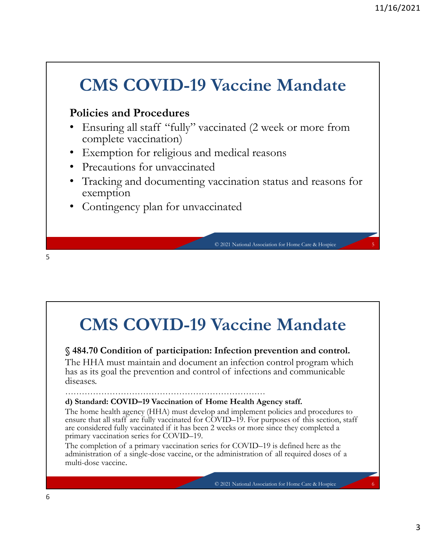## CMS COVID-19 Vaccine Mandate Policies and Procedures <sup>11/16/2</sup><br> **CMS COVID-19 Vaccine Mandate**<br> **Policies and Procedures**<br>
• Ensuring all staff "fully" vaccinated (2 week or more from<br>
• Exemption for religious and medical reasons<br>
• Precautions for unvaccinated<br>
• Tracking • Ensuring all staff "fully" vaccinated (2 week or more from complete vaccination) • Exemption for religious and medical reasons • Precautions for unvaccinated • Tracking and documenting vaccination status and reasons for exemption Contingency plan for unvaccinated Vaccine Mandate<br>
cinated (2 week or more from<br>
medical reasons<br>
accination status and reasons for<br>
linated<br>
C<sup>2021 National Association for Home Care & Hospice</sup> • Iracking and documenting vaccination status and reasons for<br>exemption<br>• Contingency plan for unvaccinated<br>• • Condition of participation: Infection prevention and control.<br>• S 484.70 Condition of participation: Infection • Contingency plan for unvaccinated<br>
• C2021 Naimal Association for Hempics<br>
• C2021 Naimal Association for the prevention and control.<br>
S 484.70 Condition of participation: Infection prevention and control.<br>
The HHA must  $5<sub>2</sub>$

CMS COVID-19 Vaccine Mandate

The HHA must maintain and document an infection control program which has as its goal the prevention and control of infections and communicable diseases.

………………………………………………………………

**CMS COVID–19 Vaccine Mandate**<br> **CMS COVID–19 Vaccine Mandate**<br> **S484.70 Condition of participation:** Infection prevention and control.<br>
The HHA must maintain and document an infection control program which<br>
thas as its go The home health agency (HHA) must develop and implement policies and procedures to ensure that all staff are fully vaccinated for COVID–19. For purposes of this section, staff **CMS COVID–19.** Vaccine **Mandate** S484.70 Condition of participation: Infection prevention and control.<br>The HHA must maintain and document an infection control program which has as its goal the prevention and control of i **CMS COVID-19 Vaccine Mandate**<br> **S484.70 Condition of participation:** Infection prevention and control.<br>
The HHA must maintain and document an infection control program which<br>
has as its goal the prevention and control of are considered fully vaccinated if it has been 2 weeks or more since they completed a primary vaccination series for COVID–19. **CMS COVID–19 Vaccine Mandate**<br>  $\S$  484.70 Condition of participation: Infection prevention and control.<br>
The HHA must maintain and document an infection control program which<br>
this as its goal the prevention and control **CMS COVID-19 Vaccine Mandate**<br> **S484.70 Condition of participation:** Infection prevention and control.<br>
The IIIIA must maintain and document an infection control program which<br>
this as its goal the prevention and control **CMS COVID-19 Vaccine Mandate**<br> **S484.70 Condition of participation:** Infection prevention and control.<br>
The IIIIA must maintain and document an infection control program which<br>
has as its goal the prevention and control o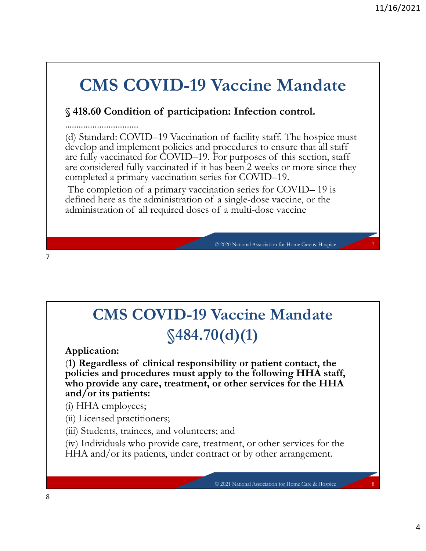#### CMS COVID-19 Vaccine Mandate

11/1<br> **CMS COVID-19 Vaccine Mandate**<br>
\$418.60 Condition of participation: Infection control.<br>
(d) Standard: COVID-19 Vaccination of facility staff. The hospice must<br>
develop and implement policies and procedures to ensure ................................ (d) Standard: COVID–19 Vaccination of facility staff. The hospice must **CMS COVID-19 Vaccine Mandate**<br> **S418.60 Condition of participation:** Infection control.<br> **S418.60 Condition of participation:** Infection control.<br>

(d) Standard: COVID-19 Vaccination of facility staff. The hospice must<br> are fully vaccinated for COVID–19. For purposes of this section, staff 11/16/2021<br> **CMS COVID-19 Vaccine Mandate**<br>
\$418.60 Condition of participation: Infection control.<br>
diversammention: The property of the property of the properties of<br>
develop and implement policies and procedures to ensur completed a primary vaccination series for COVID–19. **CMS COVID–19 Vaccine Mandate**<br>
\$418.60 Condition of participation: Infection control.<br>
20 Standard: COVID–19 Vaccination of facility staff. The hospice must<br>
hevelop and implement policies and procedures to ensure that al **CMS COVID-19 Vaccine Mandate**<br>
S418.60 Condition of participation: Infection control.<br>
CdD Standard: COVID-19 Vaccination of facility staff. The hospice must<br>
develop and implement policies and procedures to ensure that a administration of all required doses of a multi-dose vaccine Vaccine Mandate<br>
ion: Infection control.<br>
2020 of facility staff. The hospice must<br>
procedures to ensure that all staff<br>
for purposes of this section, staff<br>
es for COVID–19.<br>
as for COVID–19.<br>
a single-dose vaccine, or th

7

#### CMS COVID-19 Vaccine Mandate  $$484.70(d)(1)$

Application:

The defined here as the administration of a single-dose vaccine, or the<br>defined here as the administration of all required doses of a multi-dose vaccine, or the<br>administration of all required doses of a multi-dose vaccine<br> policies and procedures must apply to the following HHA staff, who provide any care, treatment, or other services for the HHA and/or its patients:  $Vaccine Mandate$ <br>  $O(d)(1)$ <br>
bility or patient contact, the<br>
by to the following HHA staff,<br>
or other services for the HHA<br>  $\vdots$  and<br>
atment, or other services for the<br>
ract or by other arrangement.<br>  $\odot$  2021 National Associatio

(i) HHA employees;

- (ii) Licensed practitioners;
- (iii) Students, trainees, and volunteers; and
- (iv) Individuals who provide care, treatment, or other services for the HHA and/or its patients, under contract or by other arrangement.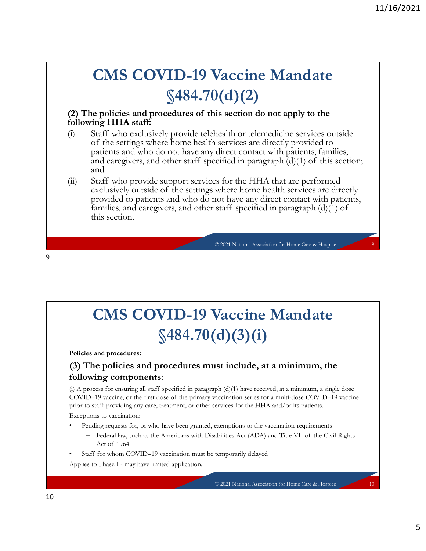#### CMS COVID-19 Vaccine Mandate §484.70(d)(2)

#### (2) The policies and procedures of this section do not apply to the following HHA staff:

- (2) The policies and procedures of this section do not apply to the following HHA staff:<br>
(3) The policies and procedures of this section do not apply to the following HHA staff:<br>
(6) Staff who exclusively provide telehea (i) Staff who exclusively provide telehealth or telemedicine services outside of the settings where home health services are directly provide to the following HHA staff:<br>and who exclusively provide telehealth or telemedic **CMS COVID-19 Vaccine Mandate**<br>  $$484.70(d)(2)$ <br>
ee policies and procedures of this section do not apply to the<br>
ing HHA staff:<br>
Staff who exclusively provide telehealth or telemedicine services outside<br>
Staff who exclusive patients and who do not have any direct contact with patients, families, and caregivers, and other staff specified in paragraph  $(d)(1)$  of this section; **EMS COVID-19 Vaccine Mandate**<br>  $\frac{\sqrt{484.70(d)}{2}}$ <br> **e** policies and procedures of this section do not apply to the<br>
ing HHA staff:<br>
Staff who cacking where home health services are directly provided to<br>
patients and who and **CMS COVID-19 Vaccine Mandate**<br>  $$484.70(d)(2)$ <br>
(2) The policies and procedures of this section do not apply to the<br>
following HHA staff:<br>
(i) Staff who exclusively provide telehealth or telemedicine services outside<br>
of t **CMS COVID-19 Vaccine Mandate**<br>  $$484.70(d)(2)$ <br>
are policies and procedures of this section do not apply to the<br>
ting HHA staff:<br>
Staff who exclusively provide telehealth or telemeticine services outside<br>
of the settings w **CMS COVID-19 Vaccine Mandate**<br>  $$484.70(d)(2)$ <br>
ee policies and procedures of this section do not apply to the<br>
staff who exclusively provide telehealth or telemedicine services outside<br>
of the settings where home health s **VACCINE MANCATE**<br> **(d)(2)**<br>
is section do not apply to the<br>
nealth or telemedicine services outside<br>
services are directly provided to<br>
direct contact with patients, families,<br>
cified in paragraph (d)(1) of this section;
- provided to patients and who do not have any direct contact with patients, this section.

CMS COVID-19 Vaccine Mandate  $$484.70(d)(3(i))$ (i) A property of the matrix of the minimum of the set of the spin section of the state of  $$484,70(d)(3)(i)$ <br>
Policies and procedures:<br>
(3) The policies and procedures must include, at a minimum, the following components:<br> COVID–19 Vaccine, Mandate<br>  $\Im 484.70(d)(3)(i)$ <br>
Policies and procedures:<br>
(3) The policies and procedures must include, at a minimum, the<br>
following components:<br>
(6) A process for ensuring all suff specified in paragraph (d **CMS COVID-19 Vaccine Mandate**<br>  $\$484.70(d)(3)(i)$ <br>
Policies and procedures:<br>
(3) The policies and procedures must include, at a minimum, the<br>
following components:<br>
(3) The policies and procedures must include, at a minimu **CMS COVID-19 Vaccine Mandate**<br>  $$484.70(d)(3)(i)$ <br>
es and procedures:<br>
The policies and procedures must include, at a minimum, the<br>
wing components:<br>
orces for en entire spacies (a primary vaccination series for a multi-dos **CMS COVID–19 Vaccine Mandate**<br>  $$484.70(d)(3)(i)$ <br>
Policies and procedures:<br>
(3) The policies and procedures must include, at a minimum, the<br>
following components:<br>
(3) A process for ensuring all staff specified in paragrap **CMS COVID-19 Vaccine Mandate**<br>  $$484.70(d)(3)(i)$ <br>
Policies and procedures:<br>
(3) The policies and procedures must include, at a minimum, the<br>
following components:<br>
(3) A process for easuring all staff specified in paragrap

Policies and procedures:

9

#### (3) The policies and procedures must include, at a minimum, the following components:

**VACCINE MANCATE**<br> **(d)** (3) (i)<br>
st include, at a minimum, the<br>
ph (d)(1) have received, at a minimum, a single dose<br>
ervices for the HHA and/or its patients.<br>
exemptions to the vaccination requirements<br>
stemporarily del

Exceptions to vaccination:

- Pending requests for, or who have been granted, exemptions to the vaccination requirements
	-

5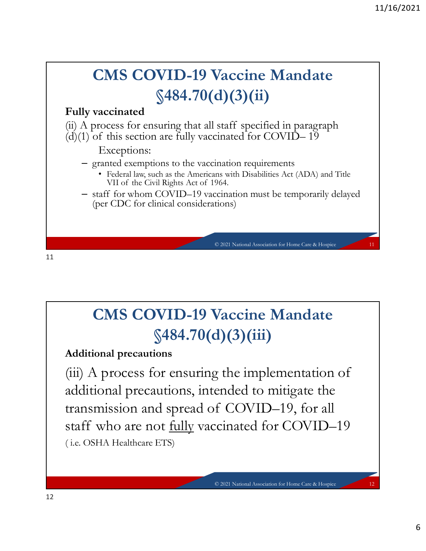

CMS COVID-19 Vaccine Mandate  $$484.70(d)(3)(iii)$ 

Additional precautions

additional precautions, intended to mitigate the CMS COVID-19 Vaccine Mandate<br>
\$484.70(d)(3)(iii)<br>
Additional precautions<br>
(iii) A process for ensuring the implementation of<br>
additional precautions, intended to mitigate the<br>
transmission and spread of COVID–19, for all<br> **CMS COVID-19 Vaccine Mandate**<br>  $$484.70(d)(3)(iii)$ <br>
Additional precautions<br>
(iii) A process for ensuring the implementation of<br>
additional precautions, intended to mitigate the<br>
transmission and spread of COVID–19, for all<br> ( i.e. OSHA Healthcare ETS) © 2021 National Association for Home Care & Hospice 12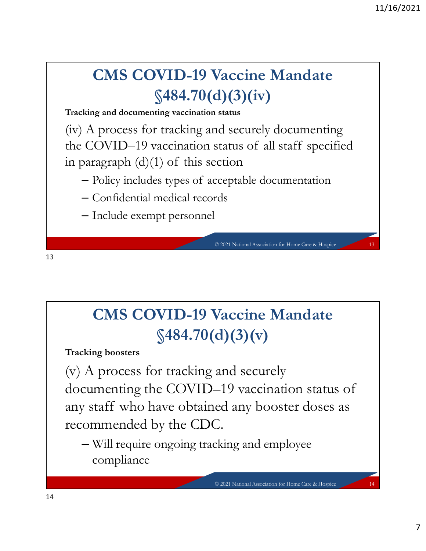## CMS COVID-19 Vaccine Mandate  $$484.70(d)(3)(iv)$

Tracking and documenting vaccination status

(iv) A process for tracking and securely documenting the COVID–19 Vaccine Mandate<br>  $$484.70(d)(3)(iv)$ <br>
Tracking and documenting vaccination status<br>
(iv) A process for tracking and securely documenting<br>
the COVID–19 vaccination status of all staff specified<br>
in paragraph (d)(1) **in paragraph (d)(1) of this section – Policy includes types of the COVID-19 Vaccine Mandate**<br>
Tracking and documenting vaccination status<br>
(iv) A process for tracking and securely documenting<br>
the COVID-19 vaccination st Vaccine Mandate<br>
d)(3)(iv)<br>
status<br>
nd securely documenting<br>
status of all staff specified<br>
ccion<br>
cceptable documentation<br>
rds<br>
c<sup>2021 National Association for Home Care & Hospice</sup>

- 
- 

13

#### CMS COVID-19 Vaccine Mandate  $$484.70(d)(3)(v)$

Tracking boosters

(v) A process for tracking and securely CMS COVID-19 Vaccine Mandate<br>
\$484.70(d)(3)(v)<br>
Tracking boosters<br>
(v) A process for tracking and securely<br>
documenting the COVID–19 vaccination status of<br>
any staff who have obtained any booster doses as<br>
recommended by t **CMS COVID-19 Vaccine Mandate**<br>  $$484.70(d)(3)(v)$ <br>
Tracking boosters<br>
(v) A process for tracking and securely<br>
documenting the COVID-19 vaccination status of<br>
any staff who have obtained any booster doses as<br>
recommended by recommended by the CDC. Vaccine Mandate<br>
d)(3)(v)<br>
and securely<br>
-19 vaccination status of<br>
ed any booster doses as<br>
C.<br>
C.<br>
C.<br>
C.<br>
C.<br>
C.<br>
C.<br>
2021 National Association for Home Care & Hospice

– Will require ongoing tracking and employee compliance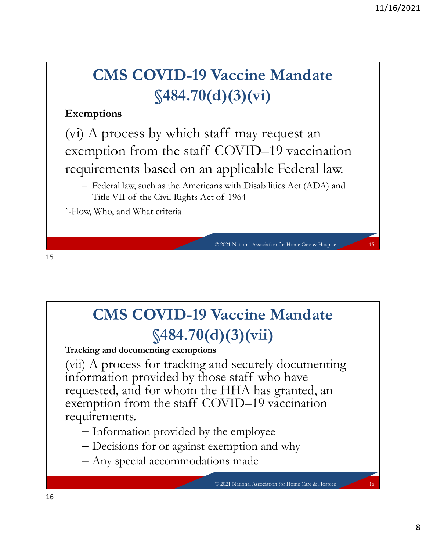#### CMS COVID-19 Vaccine Mandate  $$484.70(d)(3)(vi)$

#### Exemptions

(vi) A process by which staff may request an **EXECUTE 2018**<br> **Exemptions**<br> **Exemptions**<br> **Exemptions**<br>
(vi) A process by which staff may request an<br>
exemption from the staff COVID–19 vaccination<br>
requirements based on an applicable Federal law.<br>
- Federal law, such requirements based on an applicable Federal law. **CMS COVID-19 Vaccine Mandate**<br>  $$484.70(d)(3)(vi)$ <br>
ptions<br>
A process by which staff may request an<br>
uption from the staff COVID–19 vaccination<br>
irements based on an applicable Federal law.<br>
Federal law, such as the American Vaccine Mandate<br>
d) (3) (vi)<br>
aff may request an<br>
COVID-19 vaccination<br>
applicable Federal law.<br>
ns with Disabilities Act (ADA) and<br>
of 1964<br>
02021 National Association for Home Care & Hospice

– Federal law, such as the Americans with Disabilities Act (ADA) and

`-How, Who, and What criteria

## CMS COVID-19 Vaccine Mandate §484.70(d)(3)(vii)

Tracking and documenting exemptions

(vii) A process for tracking and securely documenting Flow, Who, and What criteria<br> **CMS COVID-19 Vaccine Mandate**<br>  $$484.70(d)(3)(vii)$ <br>
Tracking and documenting exemptions<br>
(vii) A process for tracking and securely documenting<br>
information provided by those staff who have<br>
req requested, and for whom the HHA has granted, an exemption for them Case Blogies<br>
CMS COVID-19 Vaccine Mandate<br>  $$484.70(d)(3)(vii)$ <br>
Tracking and documenting exemptions<br>
(vii) A process for tracking and securely documenting<br>
information provided by those staff who have<br>
req requirements. Vaccine Mandate<br>
1) (3) (vii)<br>
,<br>
nd securely documenting<br>
se staff who have<br>
: HHA has granted, an<br>
DVID–19 vaccination<br>
the employee<br>
xemption and why<br>
ons made<br>
0 2021 National Association for Home Care & Hospice

- Information provided by the employee
- Decisions for or against exemption and why
- Any special accommodations made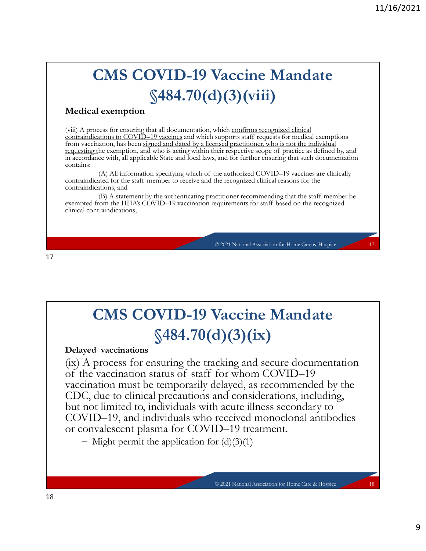## CMS COVID-19 Vaccine Mandate §484.70(d)(3)(viii)

#### Medical exemption

(viii) A process for ensuring that all documentation, which confirms recognized clinical<br>contraindications to COVID-19 vaccines and which supports staff requests for medical exemptions **CMS COVID-19 Vaccine Mandate**<br>  $$484.70(d)(3)(viii)$ <br>
Medical exemption<br>
(viii) A process for ensuring that all documentation, which confirms recognized clinical<br>
from vaccinations to COVID–19 vaccines and which supports staf from vaccination, has been signed and dated by a licensed practitioner, who is not the individual requesting the exemption, and who is acting within their respective scope of practice as defined by, and in accordance with, all applicable State and local laws, and for further ensuring that such documentation contains: **CMS COVID-19 Vaccine Mandate**<br>  $$484.70(d)(3)(\n$ iii)<br>
Medical exemption<br>
(viii) A process for ensuring that all documentation, which <u>confirms recognized clinical</u><br>
from vaccination, has been signed and dated by a licensed **CMS COVID-19 Vaccine Mandate**<br>  $$484.70(d)(3)(viii)$ <br>
Medical exemption<br>
(viii) A process for easuring that all documentation, which confirms accognized clinical<br>
communications in COMID-19 vaccination requirements for star f <p>• <b>Machine Mandate</b></p>\n<p>① (3) (viii)</p>\n<p>which confirms recognized clinical supports staff request for medical exemplants used practical support system to is not the individual speed for respective scope of practice as defined by, and, and for further ensuring that such documentation he authorized COVID-19 vaccines are clinically the recognized clinical reasons for the criterion for starting that the staff member be equirements for staff based on the recognized</p>\n<p>○ 2021 National Association for Home Care &amp; Hoppic</p>\n<p>○ 2021 National Association for Home Care &amp; Hoppic</p>

(A) All information specifying which of the authorized COVID–19 vaccines are clinically contraindicated for the staff member to receive and the recognized clinical reasons for the contraindications; and

(B) A statement by the authenticating practitioner recommending that the staff member be exempted from the HHA's COVID-19 vaccination requirements for staff based on the recognized clinical contraindications;

17

#### CMS COVID-19 Vaccine Mandate  $$484.70(d)(3)(ix)$

Delayed vaccinations

(ix) A process for ensuring the tracking and secure documentation of the vacuum for the vacuum for the vacuum for the vacuum for the vacuum for the vacuum for the vacuum for the vacuum for the vacuum for the vacuum of the vacuum for the vacuum of the vacuum of the vacuum of the vacuum of vaccination must be temporarily delayed, as recommended by the CDC, due to clinical precautions and considerations, including, but not limited to, individuals with acute illness secondary to COVID–19, and individuals who received monoclonal antibodies or convalescent plasma for COVID–19 treatment. **Vaccine Mandate**<br> **d)** (3) (ix)<br>
cking and secure documentation<br>
for whom COVID-19<br>
lelayed, as recommended by the<br>
and considerations, including,<br>
a cute illness secondary to<br>
received monoclonal antibodies<br>
D-19 treatm

– Might permit the application for  $(d)(3)(1)$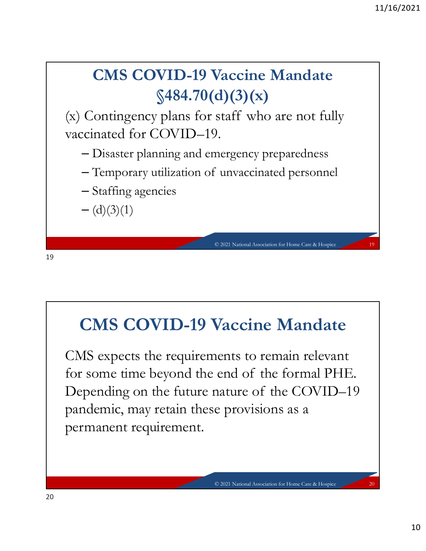

#### CMS COVID-19 Vaccine Mandate

CMS expects the requirements to remain relevant  $-(d)(3)(1)$ <br> **CMS COVID-19 Vaccine Mandate**<br>
CMS expects the requirements to remain relevant<br>
for some time beyond the end of the formal PHE.<br>
Depending on the future nature of the COVID-19<br>
pandemic, may retain these provi Depending on the future nature of the COVID–19 pandemic, may retain these provisions as a permanent requirement. Vaccine Mandate<br>
ents to remain relevant<br>
end of the formal PHE.<br>
nature of the COVID-19<br>
e provisions as a<br>
a<br>
e 2021 National Association for Home Care & Hospice 20<br>
20<br>
20<br>
20<br>
20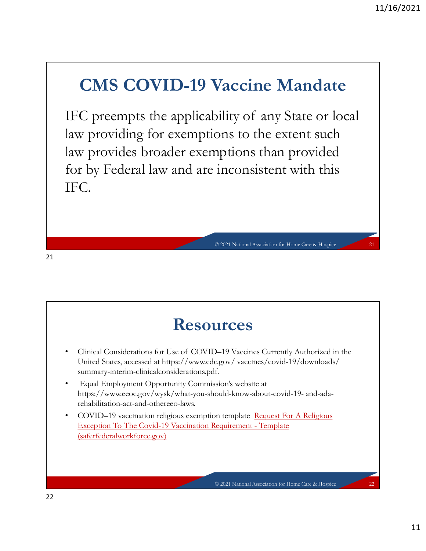#### CMS COVID-19 Vaccine Mandate

I1/16/2021<br>
IFC preempts the applicability of any State or local<br>
IFC preempts the applicability of any State or local<br>
Iaw providing for exemptions to the extent such<br>
Iaw provides broader exemptions than provided<br>
for by law providing for exemptions to the extent such law provides broader exemptions than provided for by Federal law and are inconsistent with this IFC. © 2021 National Association for Home Care & Hospice 21

21

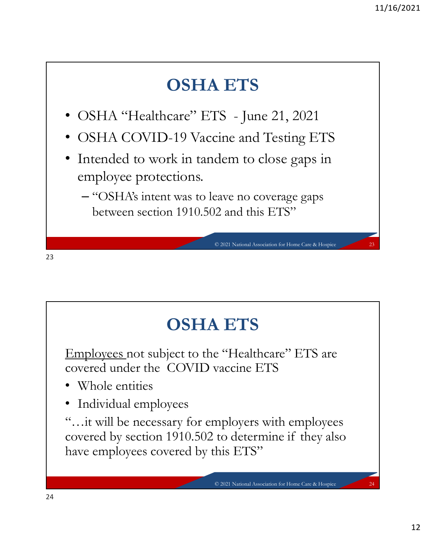

## OSHA ETS

Employees not subject to the "Healthcare" ETS are covered under the COVID vaccine ETS

- Whole entities
- Individual employees

"...it will be necessary for employers with employees covered by section 1910.502 to determine if they also **COSHA ETS**<br>
Employees not subject to the "Healthcare" ETS are<br>
covered under the COVID vaccine ETS<br>
• Whole entities<br>
• Individual employees<br>
"...it will be necessary for employers with employees<br>
covered by section 1910. have employees covered by this ETS" <p>■ TS</p>\n<p>e "Healthcare" ETS are<br/>\nvaccine ETS</p>\n<p>mplovers with employees<br/>\nto determine if they also<br/>\nhis ETS"</p>\n<p>© 2021 National Association for Home Care &amp; Hoppice</p>\n<p>24</p>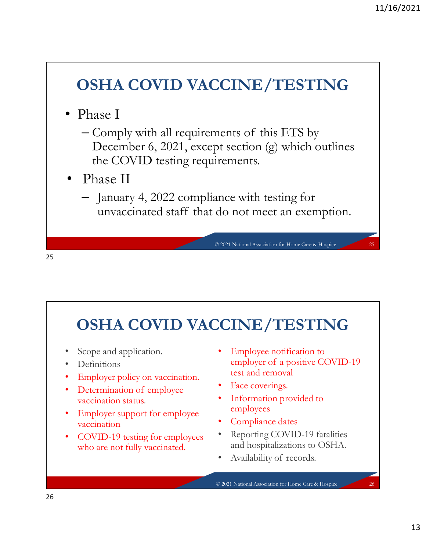#### OSHA COVID VACCINE/TESTING

- Phase I
- <sup>11/16/2021</sup><br> **DSHA COVID VACCINE/TESTING**<br>
Phase I<br>
 Comply with all requirements of this ETS by<br>
December 6, 2021, except section (g) which outlines<br>
the COVID testing requirements.<br>
Phase II December 6, 2021, except section (g) which outlines the COVID testing requirements. HA COVID VACCINE/TESTING<br>
use I<br>
lomply with all requirements of this ETS by<br>
December 6, 2021, except section (g) which outlines<br>
the COVID testing requirements.<br>
Lanuary 4, 2022 compliance with testing for<br>
unvaccinated © 2021 National Association for Home Care & Hospice 25
- Phase II
	- January 4, 2022 compliance with testing for

25 and 25 and 25 and 25 and 25 and 25 and 25 and 26 and 26 and 26 and 26 and 26 and 26 and 26 and 26 and 26 an

# OSHA COVID VACCINE/TESTING • Capacity Network (COVID VACCINE/TESTING<br>
• Scope and application. • Employee notification to<br>
• Definitions<br>
• Employee policy on vaccination. • Employee of a positive COVID-19<br>
• Employee policy on vaccination. • Exace

- Scope and application.
- Definitions
- Employer policy on vaccination.
- vaccination status.
- Employer support for employee vaccination
- COVID-19 testing for employees who are not fully vaccinated.
- Employee notification to<br>employer of a positive COVID-19 e with testing for<br>
not meet an exemption.<br>
National Association for Home Care & Hospice<br> **INE/TESTING**<br>
Employee notification to<br>
employer of a positive COVID-19<br>
test and removal<br>
Face coverings.<br>
Information provided to test and removal • Employee notification to<br>
• Employee notification to<br>
employer of a positive COVID-19<br>
test and removal<br>
• Face coverings.<br>
• Information provided to<br>
• employees<br>
• Compliance dates<br>
• Reporting COVID-19 fatalities<br>
and
- Face coverings.
- Information provided to employees
- Compliance dates
- Reporting COVID-19 fatalities and hospitalizations to OSHA.
	-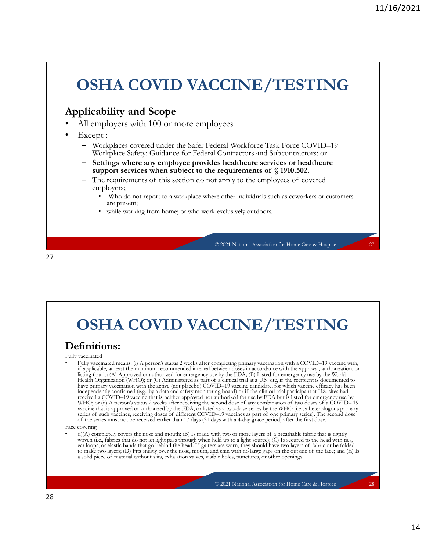## OSHA COVID VACCINE/TESTING Applicability and Scope All employers with 100 or more employees Except : – Workplaces covered under the Safer Federal Workforce Task Force COVID–19 Workplace Safety: Guidance for Federal Contractors and Subcontractors; or – Settings where any employee provides healthcare services or healthcare support subject to a workplace where other individuals subject to the requirements of § 1910.502. The requirements of § 1910.502. – The requirements of § 1910.502. – The requirements of § 1910.502. – The requirements of § employers; Who do not report to a workplace where other individuals such as coworkers or customers are present; while working from home; or who work exclusively outdoors. CINE/TESTING<br>
oyees<br>
Ideral Workforce Task Force COVID-19<br>
Contractors and Subcontractors; or<br>
res healthcare<br>
requirements of § 1910.502.<br>
tapply to the employees of covered<br>
re other individuals such as coworkers or cust

27 and 27 and 27 and 27 and 27 and 27 and 27 and 27 and 27 and 27 and 27 and 27 and 27 and 27 and 27 and 27 an

## OSHA COVID VACCINE/TESTING

#### Definitions:

#### Fully vaccinated

• Fully vaccinated means: (i) A person's status 2 weeks after completing primary vaccination with a COVID–19 vaccine with, if applies the minimum recommended interval between the minimum recommended interval between distributions of the minimum recommended interval between doses in a control of the minimum recommended interval between distrib listing that is: (A) Approved or authorized for emergency use by the FDA; (B) Listed for emergency use by the World<br>Health Organization (WHO); or (C) Administered as part of a clinical trial at a U.S. site, if the recipien A solid version of  $\sim$  (C)  $\sim$  (C)  $\sim$  (C)  $\sim$  (C)  $\sim$  (C)  $\sim$  (C)  $\sim$  (C)  $\sim$  (C)  $\sim$  (C)  $\sim$  (C)  $\sim$  (C)  $\sim$  (C)  $\sim$  (C)  $\sim$  (C)  $\sim$  (C)  $\sim$  (C)  $\sim$  (C)  $\sim$  (C)  $\sim$  (C)  $\sim$  (C)  $\sim$  (C)  $\sim$  (C)  $\sim$ have primary vaccination with the active (not placebo) COVID–19 vaccine candidate, for which vaccine efficacy has been independently confirmed (e.g., by a data and safety monitoring board) or if the clinical trial particip **COVID VACCINE/TESTING**<br> **COVID VACCINE/TESTING**<br> **Stricture** (see A Hospics with the completing primery continuition with a COVID-19 continue with a<br>
straight intermediate (e.g., by a property of the completion of the co received a COVID–19 vaccine that is neither approved nor authorized for use by FDA but is listed for emergency use by<br>WHO, or (ii) A person's status 2 weeks after receiving the second dose of any combination of two doses o **C** 2021 National Association for Homes Care & Hospics  $\alpha$  and  $\alpha$  person in the second doses after receiving person with a COVID–19 vaccine with,  $\alpha$ <sup>1</sup> mpc) accounts any compile the second doses after receiving the s vaccine that is approved or authorized by the FDA, or listed as a two-dose series by the WHO (i.e., a heterologous primary series of such vaccines, receiving doses of different COVID–19 vaccines as part of one primary seri **C** 2021 National Association for Home Can as Hospics  $\sim$  27 and 2021 NE COVID–19 vaccines as part of  $\sim$  27 and 2021 NE COVID–19 vaccines as part of  $\sim$  28 and 2021 NE COVID–19 vaccines as part of  $\sim$  28 and 2021 NE **COVID** VACCINE/TESTING<br>
individuals and the series must also the series must also the remaining must not be received after the series must not a 4-day grace with the septential and the series with a 4-day grace period of **OSHA COVID VACCINE/TESTING**<br> **Definitions:**<br> **Complete** with a complete the nose and mouth; (B) a property of a breathable fabric that is the nose and mouth; (B) in the normal model of a breathable fabric that is tighted **EXERIME COVID VACCINE/TESTING**<br>
such and means (0. Agenent water a sumple and completing primary extension with a COVID-19 varieties with<br>
in graphitatic at the state intermediate the system of the head. It is equivalent **COVID VACCINE/TESTING**<br>
variations:<br>
variation and chin we receive the nose of  $\Lambda$  person's stant 2 weeks after completing perimary vaccination with a COVID-19 vacine with<br>
Hully accurated make the NUC of C Administered **COVID VACCINE/TESTING**<br>
vacinated means ( $\theta$  A person's status 2 weeks after completing primary vaccination with a COVID-19 vacine with,<br>
really vacinated means ( $\theta$  A person's status 2 weeks acter boundering primary v **CINE/TESTING**<br>
mynetrig primary vaccination with a COVID-19 vaction with,<br>
etwen doses in accordance with the approval, authorization, or<br>
et by the FDA; (B) Listed for emergency use by the World<br>
mg-D vaccine candidate,

Face covering<br>  $\bullet$  (i)(A) completely covers the nose and mouth; (B) Is made with two or more layers of a breathable fabric that is tightly woven (i.e., fabrics that do not let light pass through when held up to a light source); (C) Is secured to the head with ties, ear loops, or elastic bands that go behind the head. If gaiters are worn, they should have two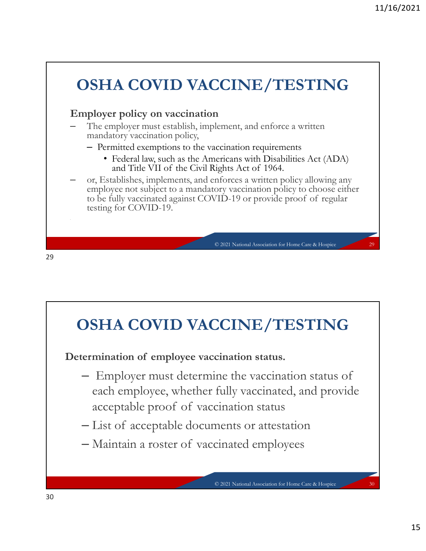

#### OSHA COVID VACCINE/TESTING

- each employee, whether fully vaccinated, and provide **EXECTIVE PROOF OF VACCINE ACCESS (COVID VACCINE ACCESS OF VACCINE ACCESS OF VACCINE ACCESS OF VACCINATION** (COVID VACCINATION COVID VACCINATION COVID VACCINATION CONSUMING THE VACCINATION OF VACCINATION CONSUMING A RECORD © 2021 National Association for Home Care & Hospice 30
- 
-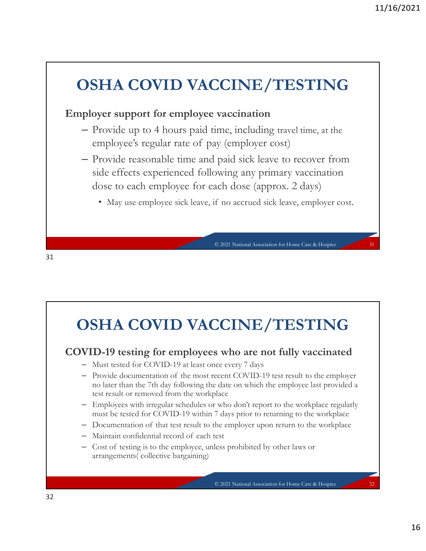## OSHA COVID VACCINE/TESTING Employer support for employee vaccination – Provide up to 4 hours paid time, including travel time, at the 11/16/2021<br> **EMPLOY SOCION SETTING**<br>
ployer support for employee vaccination<br>
- Provide up to 4 hours paid time, including travel time, at the<br>
employee's regular rate of pay (employer cost)<br>
- Provide reasonable time and side effects experienced following any primary vaccination dose to each employee for each dose (approx. 2 days) **HA COVID VACCINE/TESTING**<br>ver support for employee vaccination<br>rovide up to 4 hours paid time, including travel time, at the<br>mployee's regular rate of pay (employer cost.)<br>rovide reasonable time and paid sick leave to rec

31

## OSHA COVID VACCINE/TESTING COVID-19 testing for employees who are not fully vaccinated – Must tested for COVID-19 at least once every 7 days – Provide documentation of the most recent Covid-19 within 7 days prior to the most phase consider the most recent COVID-19 test result of covid-19 test result to the employer of the most recent COVID-19 at least once ever no later than the 7th day following the date on which the employee last provided a test result or removed from the workplace – Employees with irregular schedules or who don't report to the workplace regularly must be tested for COVID-19 within 7 days prior to returning to the workplace **DSHA COVID VACCINE/TESTING**<br>
— Mas tested for COVID-19 acts rone every 7 days<br>
— Provide documentation of the most recent COVID-19 test result to the employer<br>
— Drovide documentation of the workplace (COVID-19 test resu arrangements( collective bargaining) **CINE/TESTING**<br>
s who are not fully vaccinated<br>
ce every 7 days<br>
ecent COVID-19 test result to the employer<br>
date on which the employee last provided a<br>
lace<br>
who don't report to the workplace regularly<br>
7 days prior to re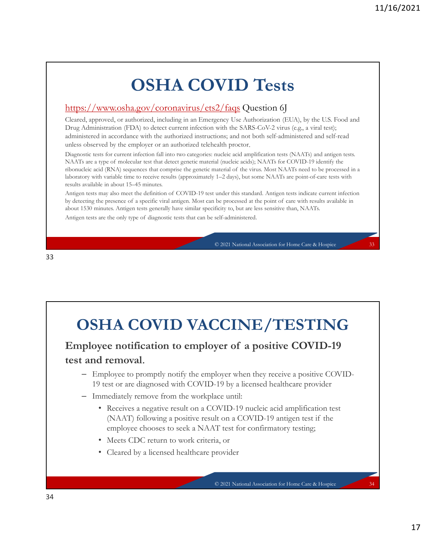## OSHA COVID Tests

#### https://www.osha.gov/coronavirus/ets2/faqs Question 6J

Cleared, approved, or authorized, including in an Emergency Use Authorization (EUA), by the U.S. Food and Drug Administration (FDA) to detect current infection with the SARS-CoV-2 virus (e.g., a viral test); administered in accordance with the authorized instructions; and not both self-administered and self-read unless observed by the employer or an authorized telehealth proctor.

Diagnostic tests for current infection fall into two categories: nucleic acid amplification tests (NAATs) and antigen tests. **IMA COVID-Test ts**<br> **COVID-Test ts**<br> **COVID-Test ts**<br> **Cleand, approved, or authorized, including in an 1/mergency Use Authorization (1/1)A), by the US-Used and<br>
Cleand, approved, or authorized, including in an 1/mergenc 11/16/2021**<br> **CONTID Tests**<br> **Comparison acts actually accurate that computer in the genetic material of the state of the state of the genetic material of the genetic material of the genetic material of the state of the** laboratory with variable time to receive results (approximately 1–2 days), but some NAATs are point-of-care tests with results available in about 15–45 minutes. **COVID-Tests**<br>
Antips://www.osha.gov/coronavirus/ets2/faqs Question 6]<br>
Cleared, approved, or authorized, including in an Energency Use Authorization (EUA), by the U.S. Food and<br>
Drog Administerdon (EDA) to detect current **by detection of a specific viral and the presence of a specific viral and the presence of a subsection of a specific viral and the presence of a specific viral and the presence of a specific viral and the presence of a s COVID Tests**<br> **Antips://www.osha.gov/coronavirus/cts2/faqs** Question 6J<br>
Cleared, approved, or authorized, including in an Emergency Use Authorization (EUA), by the U.S. Food and<br>
Drug Administration (FDA) to detect curre **VID Tests**<br>
2/faqs Question 6J<br>
expert Use Authrizization (EUA), by the U.S. Food and<br>
with the SARS-CoV-2 virus (e.g., a viral test);<br>
ions; and not both self-administered and self-read<br>
ealth proctor.<br>
and care administ

about 1530 minutes. Antigen tests generally have similar specificity to, but are less sensitive than, NAATs. Ehistory with rankink time to receive results (approximately 1-2 days), but some NAATs are point-of-care tests with<br>
Anging ress may also meet the definition of COVID-19 loss usade that standard Anging ress and<br>caterial pr

#### OSHA COVID VACCINE/TESTING

## test and removal.

- Employee to promptly notify the employer when they receive a positive COVID-19 test or are diagnosed with COVID-19 by a licensed healthcare provider
- 
- **EXERT ACOVID VACCINE/TESTING**<br>
ployee notification to employer of a positive COVID-19<br>
and removal.<br>  $\blacksquare$  Employee to promptly notify the employer when they receive a positive COVID-<br>  $\blacksquare$  Employee to promptly notify **HA COVID VACCINE/TESTING**<br> **e** notification to employer of a positive COVID-19<br>
removal.<br>
stor are diagnosed with COVID-19 by a licensed healthcare provider<br>
logice to promptly movity the employer when they receive a posi employee chooses to seek a NAAT test for confirmatory testing; **HA COVID VACCINE/TESTING**<br>
yee notification to employer of a positive COVID-19<br>
1 removal.<br>
mployee to promptly notify the employer when they receive a positive COVID-<br>
test or are diagnosed with COVID-19 by a licensed he CINE/TESTING<br>
yer of a positive COVID-19<br>
loyer when they receive a positive COVID-<br>
19 by a licensed healthcare provider<br>
toe a covid-<br>
19 multiple acid amplification test<br>
T test for confirmatory testing;<br>
The for confir
	- Meets CDC return to work criteria, or
	-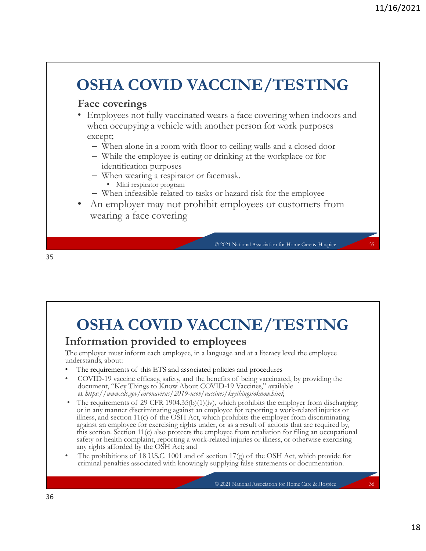## OSHA COVID VACCINE/TESTING

#### Face coverings

- Employees not fully vaccinated wears a face covering when indoors and when occupying a vehicle with another person for work purposes except; CINE/TESTING<br>
ears a face covering when indoors and<br>
other person for work purposes<br>
r to ceiling walls and a closed door<br>
drinking at the workplace or for<br>
cemask.<br>
or hazard risk for the employee<br>
t employees or customer
	- When alone in a room with floor to ceiling walls and a closed door
	- While the employee is eating or drinking at the workplace or for identification purposes
	- When wearing a respirator or facemask.
		- Mini respirator program
	- When infeasible related to tasks or hazard risk for the employee
- An employer may not prohibit employees or customers from wearing a face covering

35

## OSHA COVID VACCINE/TESTING

#### Information provided to employees

The employer must inform each employee, in a language and at a literacy level the employee understands, about:

- 
- document, "Key Things to Know About COVID-19 Vaccines," available at https://www.cdc.gov/coronavirus/2019-ncov/vaccines/keythingstoknow.html;
- An employer may not prohibit employees or customers from<br>wearing a face covering<br>
 Court Numal Associated policies and procedures<br>
Information provided to employees<br>
The employer mast and molecules in a language and at **• The requirements of this CFR 1904. Natural Association for ESTING**<br> **COVID VACCINE/TESTING**<br> **Constrained the requirements of this ETS and associated policies and procedures**<br>
the employee materials about:<br>
The require or in any manner discriminating against an employee for reporting a work-related injuries or illness, and section 11(c) of the OSH Act, which prohibits the employer from discriminating **OSHA COVID VACCINE/TESTING**<br> **formation provided to employees**<br> **comployer** must inform each employee, in a language and at a literaty level the employee<br>
translos, about:<br>
The requirements of this ETS and associated pol **OSHA COVID VACCINE/TESTING**<br>formation provided to employees<br>employer must inform cach employee, in a language and at a literary level the employee<br>or exercising about<br>The requirements of this EIS and associated policies this section. Section 11(c) also protects the employee from retaliation for filing an occupational safety or health complaint, reporting a work-related injuries or illness, or otherwise exercising any rights afforded by the OSH Act; and **COSHA COVID VACCINE/TESTING**<br>
The employer must inform each employee, in a language and at a literacy level the employee<br>
The requirements of this ETS and associated policies and procedures<br>
• COVID-19 vacine filections, **CINE/TESTING**<br>
loyees<br>
guage and at a literacy level the employee<br>
policies and procedures<br>
method being vaccinated, by providing the<br>
mines/keythingstoknow.btml;<br>
, which prohibits the employer from discharging<br>
, which
- criminal penalties associated with knowingly supplying false statements or documentation.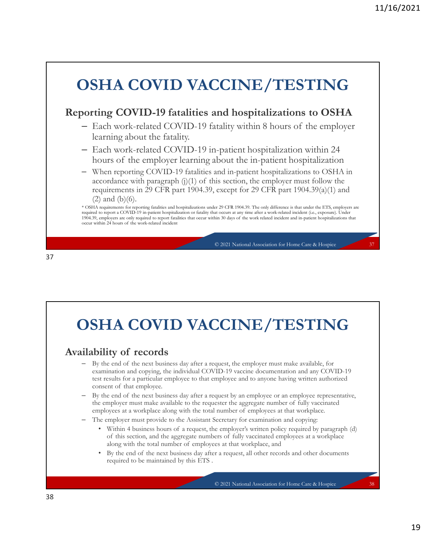

## OSHA COVID VACCINE/TESTING

- examination and copying, the individual COVID-19 vaccine documentation and any COVID-19 test results for a particular employee to that employee and to anyone having written authorized **SHA COVID VACCINE/TESTING**<br> **SHA COVID VACCINE/TESTING**<br> **Shifty of records**<br> **Shifter** and of the next business day after a request, the employer must make available, for<br>
the red of the next business day after a request  $$\circ$2021\text{ National Assimula for Homo-Cars & Houpic}\label{thm:4} $5$~\text{E021N}}\label{thm:4}$   $$\bullet$2021\text{ National Assimula for Homo-Cars & Houpic}\label{thm:4} $5$~\text{Homo-Carnus}, $5$~\text{Homo-Carnus}, $5$~\text{Homo-Carnus}, $5$~\text{Homo-Carnus}, $5$~\text{Homo-Carnus}, $5$~\text{Homo-Carnus}, $5$~\text{Homo-Carnus}, $5$~\text{Homo-Carnus}, $5$~\text{Homo-Carnus}, $5$~\text{Homo-Carnus}, $5$ **IA COVID VACCINE/TESTING**<br>
igy of records<br>
e end of the next business day after a request, the employer must make available, for<br>
end of the ager business day after a request the employer must make available, for<br>
end of **HA COVID VACCINE/TESTING**<br>
ifty of records<br>
the nead to instant the employer must make available, for<br>
minimition and ordying, the individual COVID-19 vaccine documentation and any COVID-19<br>
are studs for a particular em CINE/TESTING<br>
squest, the employer must make available, for<br>
1D-19 vaccine documentation and any COVID-19<br>
mployee and to anyone having written authorized<br>
squest by an employee or an employee representative,<br>
seercetary f
- 
- -
	- required to be maintained by this ETS .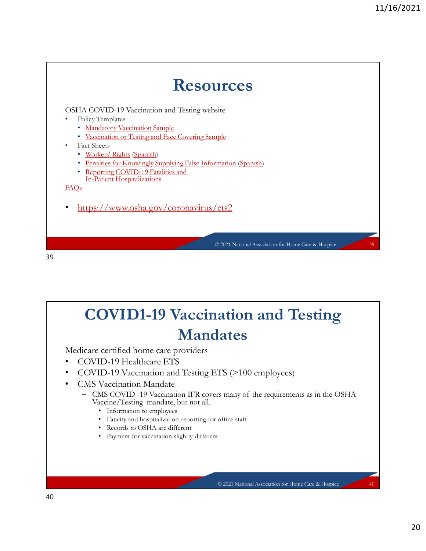

## COVID1-19 Vaccination and Testing Mandates **CONTRIGENTS**<br>
TS (>100 employees)<br>
So many of the requirements as in the OSHA<br>
office staff<br>
:<br>
C 2021 National Association for Home Care & Hospice 40<br>
2021 National Association for Home Care & Hospice 40<br>
20

Medicare certified home care providers

- COVID-19 Healthcare ETS
- COVID-19 Vaccination and Testing ETS (>100 employees)
- CMS Vaccination Mandate
	- -
		-
		-
		-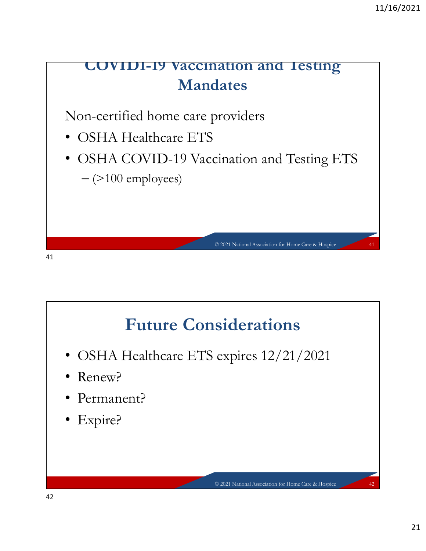